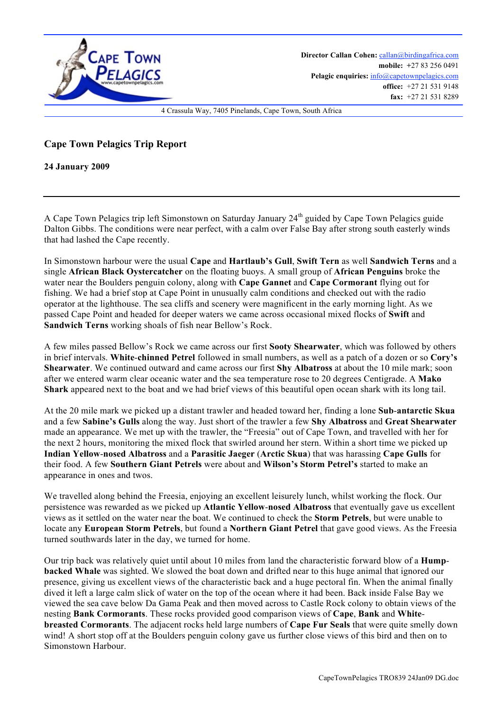

## **Cape Town Pelagics Trip Report**

**24 January 2009**

A Cape Town Pelagics trip left Simonstown on Saturday January 24<sup>th</sup> guided by Cape Town Pelagics guide Dalton Gibbs. The conditions were near perfect, with a calm over False Bay after strong south easterly winds that had lashed the Cape recently.

In Simonstown harbour were the usual **Cape** and **Hartlaub's Gull**, **Swift Tern** as well **Sandwich Terns** and a single **African Black Oystercatcher** on the floating buoys. A small group of **African Penguins** broke the water near the Boulders penguin colony, along with **Cape Gannet** and **Cape Cormorant** flying out for fishing. We had a brief stop at Cape Point in unusually calm conditions and checked out with the radio operator at the lighthouse. The sea cliffs and scenery were magnificent in the early morning light. As we passed Cape Point and headed for deeper waters we came across occasional mixed flocks of **Swift** and **Sandwich Terns** working shoals of fish near Bellow's Rock.

A few miles passed Bellow's Rock we came across our first **Sooty Shearwater**, which was followed by others in brief intervals. **White**-**chinned Petrel** followed in small numbers, as well as a patch of a dozen or so **Cory's Shearwater**. We continued outward and came across our first **Shy Albatross** at about the 10 mile mark; soon after we entered warm clear oceanic water and the sea temperature rose to 20 degrees Centigrade. A **Mako Shark** appeared next to the boat and we had brief views of this beautiful open ocean shark with its long tail.

At the 20 mile mark we picked up a distant trawler and headed toward her, finding a lone **Sub**-**antarctic Skua** and a few **Sabine's Gulls** along the way. Just short of the trawler a few **Shy Albatross** and **Great Shearwater** made an appearance. We met up with the trawler, the "Freesia" out of Cape Town, and travelled with her for the next 2 hours, monitoring the mixed flock that swirled around her stern. Within a short time we picked up **Indian Yellow**-**nosed Albatross** and a **Parasitic Jaeger** (**Arctic Skua**) that was harassing **Cape Gulls** for their food. A few **Southern Giant Petrels** were about and **Wilson's Storm Petrel's** started to make an appearance in ones and twos.

We travelled along behind the Freesia, enjoying an excellent leisurely lunch, whilst working the flock. Our persistence was rewarded as we picked up **Atlantic Yellow**-**nosed Albatross** that eventually gave us excellent views as it settled on the water near the boat. We continued to check the **Storm Petrels**, but were unable to locate any **European Storm Petrels**, but found a **Northern Giant Petrel** that gave good views. As the Freesia turned southwards later in the day, we turned for home.

Our trip back was relatively quiet until about 10 miles from land the characteristic forward blow of a **Humpbacked Whale** was sighted. We slowed the boat down and drifted near to this huge animal that ignored our presence, giving us excellent views of the characteristic back and a huge pectoral fin. When the animal finally dived it left a large calm slick of water on the top of the ocean where it had been. Back inside False Bay we viewed the sea cave below Da Gama Peak and then moved across to Castle Rock colony to obtain views of the nesting **Bank Cormorants**. These rocks provided good comparison views of **Cape**, **Bank** and **Whitebreasted Cormorants**. The adjacent rocks held large numbers of **Cape Fur Seals** that were quite smelly down wind! A short stop off at the Boulders penguin colony gave us further close views of this bird and then on to Simonstown Harbour.